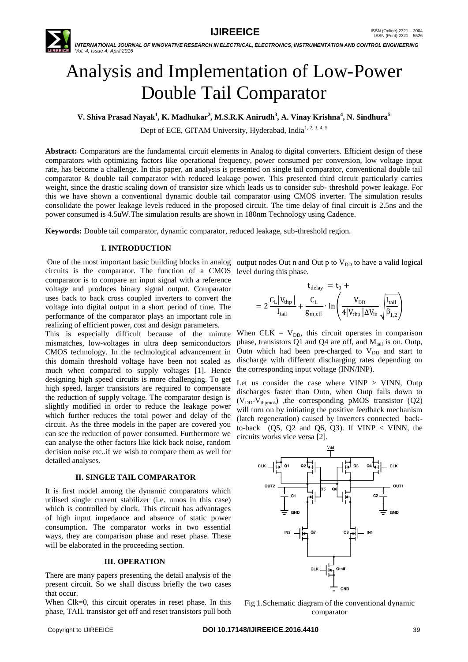

 *INTERNATIONAL JOURNAL OF INNOVATIVE RESEARCH IN ELECTRICAL, ELECTRONICS, INSTRUMENTATION AND CONTROL ENGINEERING Vol. 4, Issue 4, April 2016*

# Analysis and Implementation of Low-Power Double Tail Comparator

**V. Shiva Prasad Nayak<sup>1</sup> , K. Madhukar<sup>2</sup> , M.S.R.K Anirudh<sup>3</sup> , A. Vinay Krishna<sup>4</sup> , N. Sindhura<sup>5</sup>**

Dept of ECE, GITAM University, Hyderabad, India<sup>1, 2, 3, 4, 5</sup>

**Abstract:** Comparators are the fundamental circuit elements in Analog to digital converters. Efficient design of these comparators with optimizing factors like operational frequency, power consumed per conversion, low voltage input rate, has become a challenge. In this paper, an analysis is presented on single tail comparator, conventional double tail comparator & double tail comparator with reduced leakage power. This presented third circuit particularly carries weight, since the drastic scaling down of transistor size which leads us to consider sub- threshold power leakage. For this we have shown a conventional dynamic double tail comparator using CMOS inverter. The simulation results consolidate the power leakage levels reduced in the proposed circuit. The time delay of final circuit is 2.5ns and the power consumed is 4.5uW.The simulation results are shown in 180nm Technology using Cadence.

**Keywords:** Double tail comparator, dynamic comparator, reduced leakage, sub-threshold region.

# **I. INTRODUCTION**

circuits is the comparator. The function of a CMOS level during this phase. comparator is to compare an input signal with a reference voltage and produces binary signal output. Comparator uses back to back cross coupled inverters to convert the voltage into digital output in a short period of time. The performance of the comparator plays an important role in realizing of efficient power, cost and design parameters.

This is especially difficult because of the minute mismatches, low-voltages in ultra deep semiconductors CMOS technology. In the technological advancement in this domain threshold voltage have been not scaled as much when compared to supply voltages [1]. Hence designing high speed circuits is more challenging. To get high speed, larger transistors are required to compensate the reduction of supply voltage. The comparator design is slightly modified in order to reduce the leakage power which further reduces the total power and delay of the circuit. As the three models in the paper are covered you can see the reduction of power consumed. Furthermore we can analyse the other factors like kick back noise, random decision noise etc..if we wish to compare them as well for detailed analyses.

## **II. SINGLE TAIL COMPARATOR**

It is first model among the dynamic comparators which utilised single current stabilizer (i.e. nmos in this case) which is controlled by clock. This circuit has advantages of high input impedance and absence of static power consumption. The comparator works in two essential ways, they are comparison phase and reset phase. These will be elaborated in the proceeding section.

#### **III. OPERATION**

There are many papers presenting the detail analysis of the present circuit. So we shall discuss briefly the two cases that occur.

When Clk=0, this circuit operates in reset phase. In this phase, TAIL transistor get off and reset transistors pull both

One of the most important basic building blocks in analog output nodes Out n and Out  $p$  to  $V_{DD}$  to have a valid logical

$$
t_{\text{delay}} = t_0 +
$$
  
=  $2 \frac{C_L |V_{\text{thp}}|}{I_{\text{tail}}} + \frac{C_L}{g_{\text{m,eff}}} \cdot \ln \left( \frac{V_{\text{DD}}}{4 |V_{\text{thp}}| \Delta V_{\text{in}}} \sqrt{\frac{I_{\text{tail}}}{\beta_{1,2}}} \right)$ 

When CLK =  $V_{DD}$ , this circuit operates in comparison phase, transistors Q1 and Q4 are off, and  $M<sub>tail</sub>$  is on. Outp, Outn which had been pre-charged to  $V_{DD}$  and start to discharge with different discharging rates depending on the corresponding input voltage (INN/INP).

Let us consider the case where  $VINP > VINN$ , Outp discharges faster than Outn, when Outp falls down to  $(V_{DD}-V_{thomos})$ , the corresponding pMOS transistor (Q2) will turn on by initiating the positive feedback mechanism (latch regeneration) caused by inverters connected backto-back  $(Q5, Q2 \text{ and } Q6, Q3)$ . If  $VINP < VINN$ , the circuits works vice versa [2].



Fig 1.Schematic diagram of the conventional dynamic comparator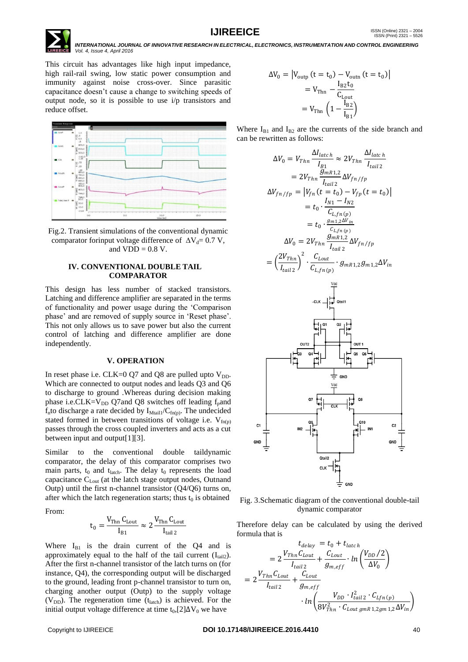**IJIREEICE ISSN** (Online)  $2321 - 2004$ <br>ISSN (Print)  $2321 - 5526$  *INTERNATIONAL JOURNAL OF INNOVATIVE RESEARCH IN ELECTRICAL, ELECTRONICS, INSTRUMENTATION AND CONTROL ENGINEERING Vol. 4, Issue 4, April 2016*

This circuit has advantages like high input impedance, high rail-rail swing, low static power consumption and immunity against noise cross-over. Since parasitic capacitance doesn"t cause a change to switching speeds of output node, so it is possible to use i/p transistors and reduce offset.



Fig.2. Transient simulations of the conventional dynamic comparator forinput voltage difference of  $\Delta V_d = 0.7 V$ , and  $VDD = 0.8 V$ .

#### **IV. CONVENTIONAL DOUBLE TAIL COMPARATOR**

This design has less number of stacked transistors. Latching and difference amplifier are separated in the terms of functionality and power usage during the "Comparison phase' and are removed of supply source in 'Reset phase'. This not only allows us to save power but also the current control of latching and difference amplifier are done independently.

#### **V. OPERATION**

In reset phase i.e. CLK=0 O7 and O8 are pulled upto  $V_{DD}$ . Which are connected to output nodes and leads Q3 and Q6 to discharge to ground .Whereas during decision making phase i.e. $CLK=V_{DD}$  Q7and Q8 switches off leading  $f<sub>p</sub>$ and  $f_n$ to discharge a rate decided by  $I_{\text{Mtail}}/C_{\text{fn}(p)}$ . The undecided stated formed in between transitions of voltage i.e.  $V_{f(n(p))}$ passes through the cross coupled inverters and acts as a cut between input and output[1][3].

Similar to the conventional double taildynamic comparator, the delay of this comparator comprises two main parts,  $t_0$  and  $t_{\text{latch}}$ . The delay  $t_0$  represents the load capacitance  $C_{\text{Lout}}$  (at the latch stage output nodes, Outnand Outp) until the first n-channel transistor (Q4/Q6) turns on, after which the latch regeneration starts; thus  $t_0$  is obtained

From:

$$
t_0 = \frac{V_{Thn}\,C_{Lout}}{I_{B1}} \approx 2\,\frac{V_{Thn}\,C_{Lout}}{I_{tail\,2}}
$$

Where  $I_{B1}$  is the drain current of the Q4 and is approximately equal to the half of the tail current  $(I<sub>tail2</sub>)$ . After the first n-channel transistor of the latch turns on (for instance, Q4), the corresponding output will be discharged to the ground, leading front p-channel transistor to turn on, charging another output (Outp) to the supply voltage ( $V_{DD}$ ). The regeneration time ( $t_{\text{latch}}$ ) is achieved. For the initial output voltage difference at time t<sub>0</sub>,[2] $\Delta V_0$  we have

$$
\Delta V_0 = |V_{\text{outp}} (t = t_0) - V_{\text{outn}} (t = t_0)|
$$
  
=  $V_{\text{Thn}} - \frac{I_{\text{B2}} t_0}{C_{\text{Lout}}}$   
=  $V_{\text{Thn}} \left( 1 - \frac{I_{\text{B2}}}{I_{\text{B1}}} \right)$ 

Where  $I_{B1}$  and  $I_{B2}$  are the currents of the side branch and can be rewritten as follows:

$$
\Delta V_0 = V_{Thn} \frac{\Delta I_{latch}}{I_{B1}} \approx 2V_{Thn} \frac{\Delta I_{latch}}{I_{tail2}}
$$
  
\n
$$
= 2V_{Thn} \frac{g_{mR1,2}}{I_{tail2}} \Delta V_{fn/fp}
$$
  
\n
$$
\Delta V_{fn/fp} = |V_{fn}(t = t_0) - V_{fp}(t = t_0)|
$$
  
\n
$$
= t_0 \cdot \frac{I_{N1} - I_{N2}}{C_{L,fn(p)}}
$$
  
\n
$$
= t_0 \cdot \frac{g_{m1,2}\Delta V_{in}}{C_{L,fn(p)}}
$$
  
\n
$$
\Delta V_0 = 2V_{Thn} \frac{g_{mR1,2}}{I_{tail2}} \Delta V_{fn/fp}
$$
  
\n
$$
= \left(\frac{2V_{Thn}}{I_{tail2}}\right)^2 \cdot \frac{C_{Lout}}{C_{L,fn(p)}} \cdot g_{mR1,2}g_{m1,2}\Delta V_{in}
$$
  
\n
$$
\xrightarrow{\text{out}} \frac{V_{old}}{V_{old}}
$$
  
\n
$$
\xrightarrow{\text{out}} \frac{V_{old}}{V_{old}}
$$
  
\n
$$
\frac{V_{old}}{V_{old}}
$$
  
\n
$$
\frac{V_{old}}{V_{old}}
$$
  
\n
$$
\frac{V_{old}}{V_{old}}
$$
  
\n
$$
\frac{V_{old}}{V_{old}}
$$
  
\n
$$
\frac{V_{old}}{V_{old}}
$$
  
\n
$$
\frac{V_{old}}{V_{old}}
$$
  
\n
$$
\frac{V_{old}}{V_{old}}
$$
  
\n
$$
\frac{V_{old}}{V_{old}}
$$
  
\n
$$
\frac{V_{old}}{V_{old}}
$$
  
\n
$$
\frac{V_{old}}{V_{old}}
$$



Fig. 3.Schematic diagram of the conventional double-tail dynamic comparator

Therefore delay can be calculated by using the derived formula that is

$$
t_{delay} = t_0 + t_{latch}
$$
  
=  $2 \frac{V_{Thn}C_{Lout}}{I_{tail2}} + \frac{C_{Lout}}{g_{m,eff}} \cdot ln\left(\frac{V_{DD}/2}{\Delta V_0}\right)$   
=  $2 \frac{V_{Thn}C_{Lout}}{I_{tail2}} + \frac{C_{Lout}}{g_{m,eff}}$   

$$
\cdot ln\left(\frac{V_{DD} \cdot I_{tail2}^2 \cdot C_{Lfn(p)}}{8V_{Thn}^2 \cdot C_{Lout g mR 1,2gm 1,2} \Delta V_{in}}\right)
$$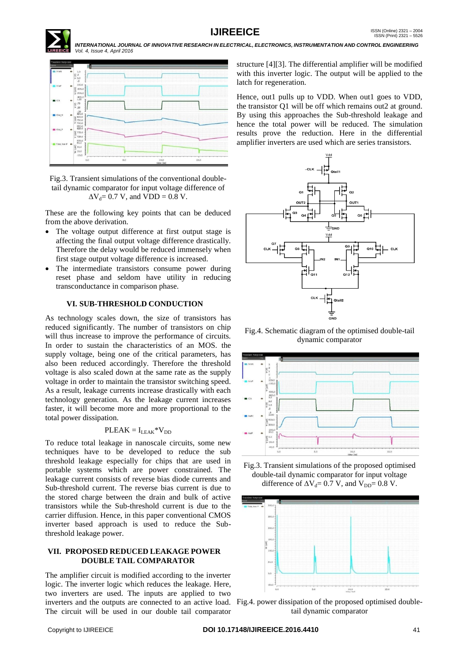

 *INTERNATIONAL JOURNAL OF INNOVATIVE RESEARCH IN ELECTRICAL, ELECTRONICS, INSTRUMENTATION AND CONTROL ENGINEERING Vol. 4, Issue 4, April 2016*



Fig.3. Transient simulations of the conventional doubletail dynamic comparator for input voltage difference of  $\Delta V_d$ = 0.7 V, and VDD = 0.8 V.

These are the following key points that can be deduced from the above derivation.

- The voltage output difference at first output stage is affecting the final output voltage difference drastically. Therefore the delay would be reduced immensely when first stage output voltage difference is increased.
- The intermediate transistors consume power during reset phase and seldom have utility in reducing transconductance in comparison phase.

# **VI. SUB-THRESHOLD CONDUCTION**

As technology scales down, the size of transistors has reduced significantly. The number of transistors on chip will thus increase to improve the performance of circuits. In order to sustain the characteristics of an MOS. the supply voltage, being one of the critical parameters, has also been reduced accordingly. Therefore the threshold voltage is also scaled down at the same rate as the supply voltage in order to maintain the transistor switching speed. As a result, leakage currents increase drastically with each technology generation. As the leakage current increases faster, it will become more and more proportional to the total power dissipation.

# $PLEAK = I_{LEAK}*V_{DD}$

To reduce total leakage in nanoscale circuits, some new techniques have to be developed to reduce the sub threshold leakage especially for chips that are used in portable systems which are power constrained. The leakage current consists of reverse bias diode currents and Sub-threshold current. The reverse bias current is due to the stored charge between the drain and bulk of active transistors while the Sub-threshold current is due to the carrier diffusion. Hence, in this paper conventional CMOS inverter based approach is used to reduce the Subthreshold leakage power.

## **VII. PROPOSED REDUCED LEAKAGE POWER DOUBLE TAIL COMPARATOR**

The amplifier circuit is modified according to the inverter logic. The inverter logic which reduces the leakage. Here, two inverters are used. The inputs are applied to two inverters and the outputs are connected to an active load. Fig.4. power dissipation of the proposed optimised double-The circuit will be used in our double tail comparator

structure [4][3]. The differential amplifier will be modified with this inverter logic. The output will be applied to the latch for regeneration.

Hence, out1 pulls up to VDD. When out1 goes to VDD, the transistor Q1 will be off which remains out2 at ground. By using this approaches the Sub-threshold leakage and hence the total power will be reduced. The simulation results prove the reduction. Here in the differential amplifier inverters are used which are series transistors.



Fig.4. Schematic diagram of the optimised double-tail dynamic comparator



Fig.3. Transient simulations of the proposed optimised double-tail dynamic comparator for input voltage difference of  $\Delta V_d$ = 0.7 V, and V<sub>DD</sub>= 0.8 V.



tail dynamic comparator